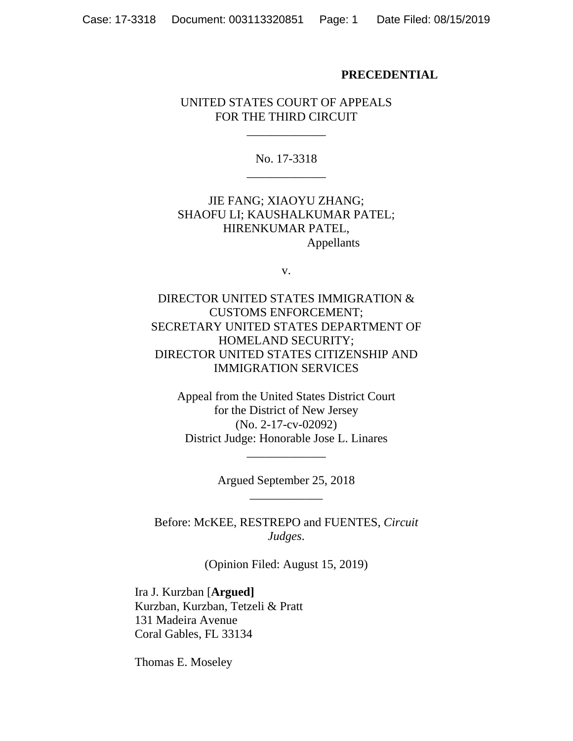#### **PRECEDENTIAL**

#### UNITED STATES COURT OF APPEALS FOR THE THIRD CIRCUIT

\_\_\_\_\_\_\_\_\_\_\_\_\_

No. 17-3318 \_\_\_\_\_\_\_\_\_\_\_\_\_

JIE FANG; XIAOYU ZHANG; SHAOFU LI; KAUSHALKUMAR PATEL; HIRENKUMAR PATEL, Appellants

v.

DIRECTOR UNITED STATES IMMIGRATION & CUSTOMS ENFORCEMENT; SECRETARY UNITED STATES DEPARTMENT OF HOMELAND SECURITY; DIRECTOR UNITED STATES CITIZENSHIP AND IMMIGRATION SERVICES

Appeal from the United States District Court for the District of New Jersey (No. 2-17-cv-02092) District Judge: Honorable Jose L. Linares

> Argued September 25, 2018 \_\_\_\_\_\_\_\_\_\_\_\_

\_\_\_\_\_\_\_\_\_\_\_\_\_

Before: McKEE, RESTREPO and FUENTES, *Circuit Judges*.

(Opinion Filed: August 15, 2019)

Ira J. Kurzban [**Argued]** Kurzban, Kurzban, Tetzeli & Pratt 131 Madeira Avenue Coral Gables, FL 33134

Thomas E. Moseley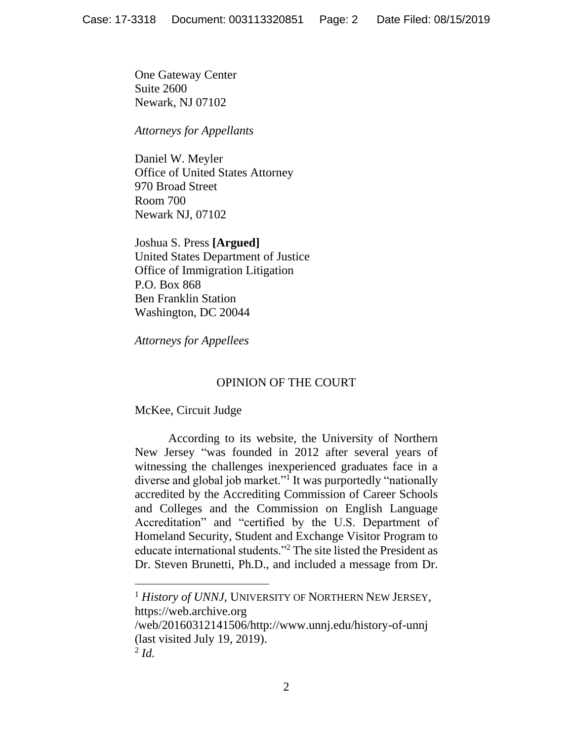One Gateway Center Suite 2600 Newark, NJ 07102

*Attorneys for Appellants*

Daniel W. Meyler Office of United States Attorney 970 Broad Street Room 700 Newark NJ, 07102

Joshua S. Press **[Argued]** United States Department of Justice Office of Immigration Litigation P.O. Box 868 Ben Franklin Station Washington, DC 20044

*Attorneys for Appellees*

# OPINION OF THE COURT

McKee, Circuit Judge

According to its website, the University of Northern New Jersey "was founded in 2012 after several years of witnessing the challenges inexperienced graduates face in a diverse and global job market."<sup>1</sup> It was purportedly "nationally accredited by the Accrediting Commission of Career Schools and Colleges and the Commission on English Language Accreditation" and "certified by the U.S. Department of Homeland Security, Student and Exchange Visitor Program to educate international students."<sup>2</sup> The site listed the President as Dr. Steven Brunetti, Ph.D., and included a message from Dr.

<sup>1</sup> *History of UNNJ*, UNIVERSITY OF NORTHERN NEW JERSEY, https://web.archive.org

/web/20160312141506/http://www.unnj.edu/history-of-unnj (last visited July 19, 2019).

<sup>2</sup> *Id.*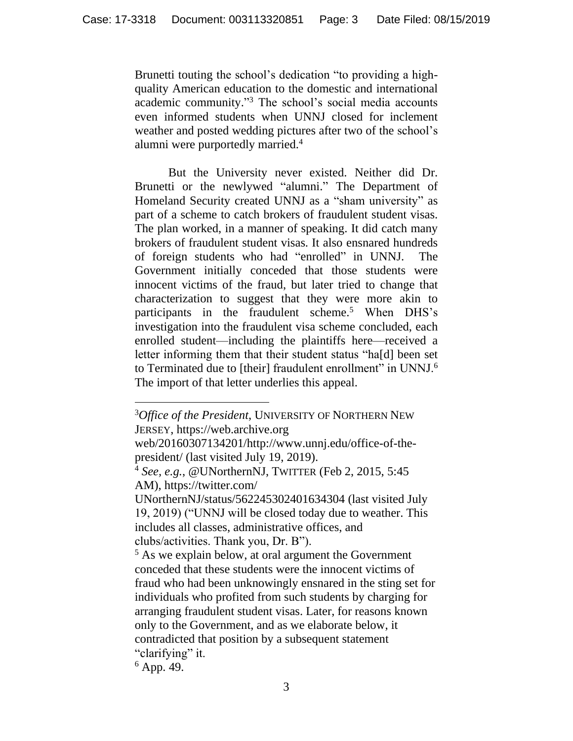Brunetti touting the school's dedication "to providing a highquality American education to the domestic and international academic community." <sup>3</sup> The school's social media accounts even informed students when UNNJ closed for inclement weather and posted wedding pictures after two of the school's alumni were purportedly married.<sup>4</sup>

But the University never existed. Neither did Dr. Brunetti or the newlywed "alumni." The Department of Homeland Security created UNNJ as a "sham university" as part of a scheme to catch brokers of fraudulent student visas. The plan worked, in a manner of speaking. It did catch many brokers of fraudulent student visas. It also ensnared hundreds of foreign students who had "enrolled" in UNNJ. The Government initially conceded that those students were innocent victims of the fraud, but later tried to change that characterization to suggest that they were more akin to participants in the fraudulent scheme.<sup>5</sup> When DHS's investigation into the fraudulent visa scheme concluded, each enrolled student—including the plaintiffs here—received a letter informing them that their student status "ha[d] been set to Terminated due to [their] fraudulent enrollment" in UNNJ.<sup>6</sup> The import of that letter underlies this appeal.

 $6$  App. 49.

<sup>3</sup>*Office of the President*, UNIVERSITY OF NORTHERN NEW JERSEY, https://web.archive.org

web/20160307134201/http://www.unnj.edu/office-of-thepresident/ (last visited July 19, 2019).

<sup>4</sup> *See, e.g.*, @UNorthernNJ, TWITTER (Feb 2, 2015, 5:45 AM), https://twitter.com/

UNorthernNJ/status/562245302401634304 (last visited July 19, 2019) ("UNNJ will be closed today due to weather. This includes all classes, administrative offices, and clubs/activities. Thank you, Dr. B").

<sup>5</sup> As we explain below, at oral argument the Government conceded that these students were the innocent victims of fraud who had been unknowingly ensnared in the sting set for individuals who profited from such students by charging for arranging fraudulent student visas. Later, for reasons known only to the Government, and as we elaborate below, it contradicted that position by a subsequent statement "clarifying" it.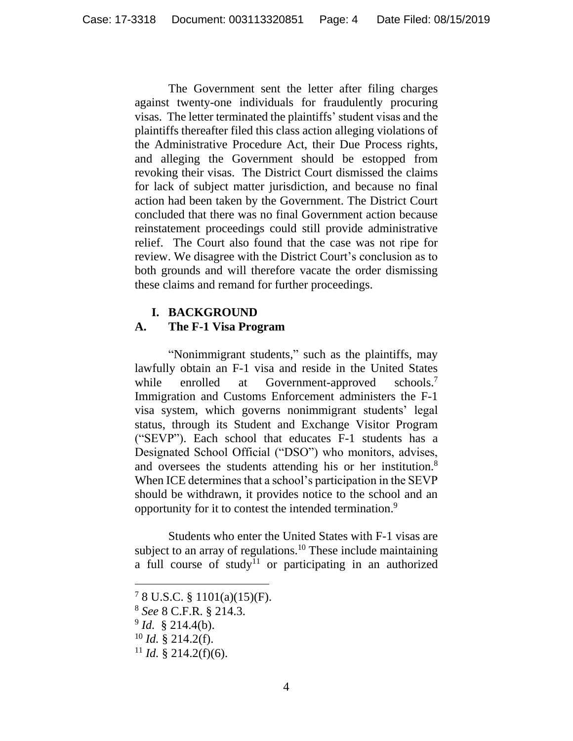The Government sent the letter after filing charges against twenty-one individuals for fraudulently procuring visas. The letter terminated the plaintiffs' student visas and the plaintiffs thereafter filed this class action alleging violations of the Administrative Procedure Act, their Due Process rights, and alleging the Government should be estopped from revoking their visas. The District Court dismissed the claims for lack of subject matter jurisdiction, and because no final action had been taken by the Government. The District Court concluded that there was no final Government action because reinstatement proceedings could still provide administrative relief. The Court also found that the case was not ripe for review. We disagree with the District Court's conclusion as to both grounds and will therefore vacate the order dismissing these claims and remand for further proceedings.

#### **I. BACKGROUND**

### **A. The F-1 Visa Program**

"Nonimmigrant students," such as the plaintiffs, may lawfully obtain an F-1 visa and reside in the United States while enrolled at Government-approved schools. $7$ Immigration and Customs Enforcement administers the F-1 visa system, which governs nonimmigrant students' legal status, through its Student and Exchange Visitor Program ("SEVP"). Each school that educates F-1 students has a Designated School Official ("DSO") who monitors, advises, and oversees the students attending his or her institution.<sup>8</sup> When ICE determines that a school's participation in the SEVP should be withdrawn, it provides notice to the school and an opportunity for it to contest the intended termination.<sup>9</sup>

Students who enter the United States with F-1 visas are subject to an array of regulations.<sup>10</sup> These include maintaining a full course of study<sup>11</sup> or participating in an authorized

<sup>7</sup> 8 U.S.C. § 1101(a)(15)(F).

<sup>8</sup> *See* 8 C.F.R. § 214.3.

<sup>9</sup> *Id.* § 214.4(b).

 $10$  *Id.* § 214.2(f).

<sup>&</sup>lt;sup>11</sup> *Id.* § 214.2(f)(6).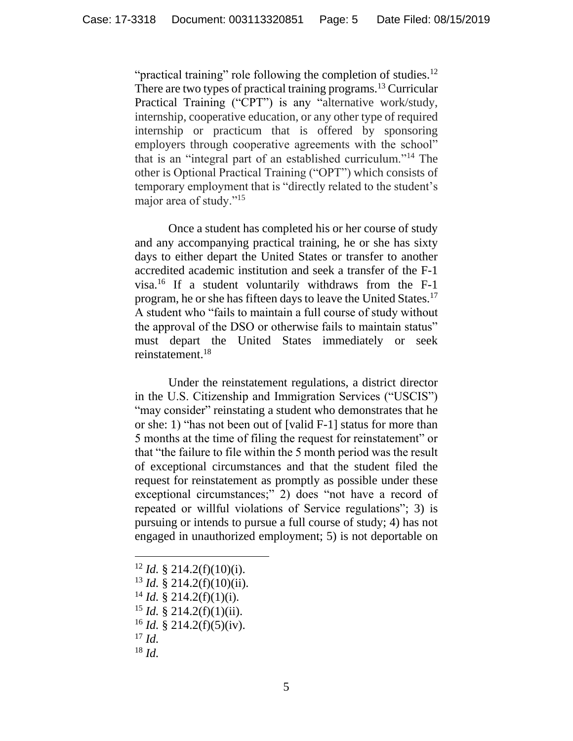"practical training" role following the completion of studies.<sup>12</sup> There are two types of practical training programs.<sup>13</sup> Curricular Practical Training ("CPT") is any "alternative work/study, internship, cooperative education, or any other type of required internship or practicum that is offered by sponsoring employers through cooperative agreements with the school" that is an "integral part of an established curriculum."<sup>14</sup> The other is Optional Practical Training ("OPT") which consists of temporary employment that is "directly related to the student's major area of study."<sup>15</sup>

Once a student has completed his or her course of study and any accompanying practical training, he or she has sixty days to either depart the United States or transfer to another accredited academic institution and seek a transfer of the F-1 visa.<sup>16</sup> If a student voluntarily withdraws from the F-1 program, he or she has fifteen days to leave the United States.<sup>17</sup> A student who "fails to maintain a full course of study without the approval of the DSO or otherwise fails to maintain status" must depart the United States immediately or seek reinstatement.<sup>18</sup>

Under the reinstatement regulations, a district director in the U.S. Citizenship and Immigration Services ("USCIS") "may consider" reinstating a student who demonstrates that he or she: 1) "has not been out of [valid F-1] status for more than 5 months at the time of filing the request for reinstatement" or that "the failure to file within the 5 month period was the result of exceptional circumstances and that the student filed the request for reinstatement as promptly as possible under these exceptional circumstances;" 2) does "not have a record of repeated or willful violations of Service regulations"; 3) is pursuing or intends to pursue a full course of study; 4) has not engaged in unauthorized employment; 5) is not deportable on

- <sup>12</sup> *Id.* § 214.2(f)(10)(i).
- <sup>13</sup> *Id.* § 214.2(f)(10)(ii).
- $14$  *Id.* § 214.2(f)(1)(i).
- $15$  *Id.* § 214.2(f)(1)(ii).
- $16$  *Id.* § 214.2(f)(5)(iv).
- <sup>17</sup> *Id.*

 $\overline{a}$ 

<sup>18</sup> *Id.*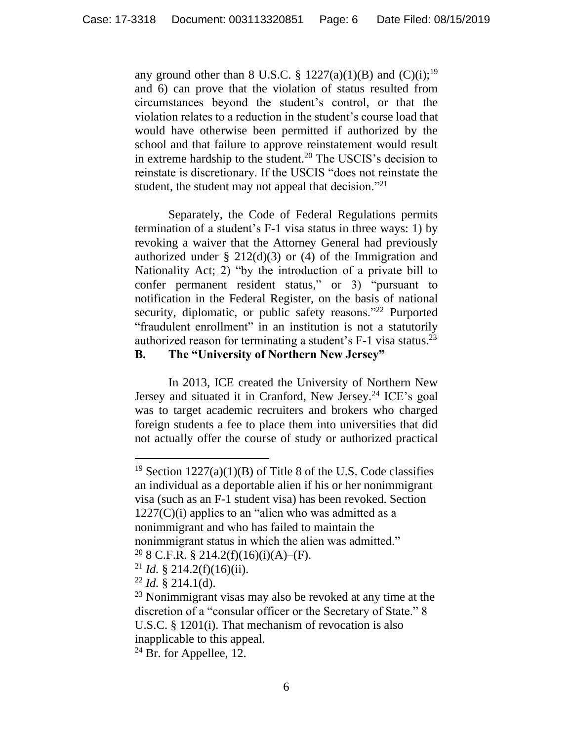any ground other than 8 U.S.C. § 1227(a)(1)(B) and  $(C)(i)$ ;<sup>19</sup> and 6) can prove that the violation of status resulted from circumstances beyond the student's control, or that the violation relates to a reduction in the student's course load that would have otherwise been permitted if authorized by the school and that failure to approve reinstatement would result in extreme hardship to the student.<sup>20</sup> The USCIS's decision to reinstate is discretionary. If the USCIS "does not reinstate the student, the student may not appeal that decision."<sup>21</sup>

Separately, the Code of Federal Regulations permits termination of a student's F-1 visa status in three ways: 1) by revoking a waiver that the Attorney General had previously authorized under  $\S$  212(d)(3) or (4) of the Immigration and Nationality Act; 2) "by the introduction of a private bill to confer permanent resident status," or 3) "pursuant to notification in the Federal Register, on the basis of national security, diplomatic, or public safety reasons."<sup>22</sup> Purported "fraudulent enrollment" in an institution is not a statutorily authorized reason for terminating a student's F-1 visa status.<sup>23</sup> **B. The "University of Northern New Jersey"**

In 2013, ICE created the University of Northern New Jersey and situated it in Cranford, New Jersey.<sup>24</sup> ICE's goal was to target academic recruiters and brokers who charged foreign students a fee to place them into universities that did not actually offer the course of study or authorized practical

<sup>&</sup>lt;sup>19</sup> Section  $1227(a)(1)(B)$  of Title 8 of the U.S. Code classifies an individual as a deportable alien if his or her nonimmigrant visa (such as an F-1 student visa) has been revoked. Section  $1227(C)(i)$  applies to an "alien who was admitted as a nonimmigrant and who has failed to maintain the nonimmigrant status in which the alien was admitted."

 $20$  8 C.F.R. § 214.2(f)(16)(i)(A)–(F).

<sup>&</sup>lt;sup>21</sup> *Id.* § 214.2(f)(16)(ii).

 $22$  *Id.* § 214.1(d).

<sup>&</sup>lt;sup>23</sup> Nonimmigrant visas may also be revoked at any time at the discretion of a "consular officer or the Secretary of State." 8 U.S.C. § 1201(i). That mechanism of revocation is also inapplicable to this appeal.

 $24$  Br. for Appellee, 12.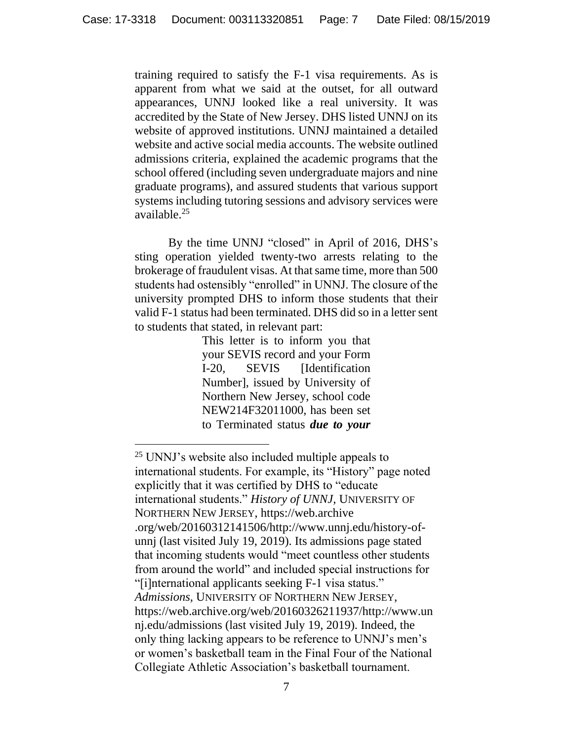training required to satisfy the F-1 visa requirements. As is apparent from what we said at the outset, for all outward appearances, UNNJ looked like a real university. It was accredited by the State of New Jersey. DHS listed UNNJ on its website of approved institutions. UNNJ maintained a detailed website and active social media accounts. The website outlined admissions criteria, explained the academic programs that the school offered (including seven undergraduate majors and nine graduate programs), and assured students that various support systems including tutoring sessions and advisory services were available. 25

By the time UNNJ "closed" in April of 2016, DHS's sting operation yielded twenty-two arrests relating to the brokerage of fraudulent visas. At that same time, more than 500 students had ostensibly "enrolled" in UNNJ. The closure of the university prompted DHS to inform those students that their valid F-1 status had been terminated. DHS did so in a letter sent to students that stated, in relevant part:

> This letter is to inform you that your SEVIS record and your Form I-20, SEVIS [Identification Number], issued by University of Northern New Jersey, school code NEW214F32011000, has been set to Terminated status *due to your*

<sup>25</sup> UNNJ's website also included multiple appeals to international students. For example, its "History" page noted explicitly that it was certified by DHS to "educate international students." *History of UNNJ,* UNIVERSITY OF NORTHERN NEW JERSEY, https://web.archive .org/web/20160312141506/http://www.unnj.edu/history-ofunnj (last visited July 19, 2019). Its admissions page stated that incoming students would "meet countless other students from around the world" and included special instructions for "[i]nternational applicants seeking F-1 visa status." *Admissions,* UNIVERSITY OF NORTHERN NEW JERSEY, https://web.archive.org/web/20160326211937/http://www.un nj.edu/admissions (last visited July 19, 2019). Indeed, the only thing lacking appears to be reference to UNNJ's men's or women's basketball team in the Final Four of the National Collegiate Athletic Association's basketball tournament.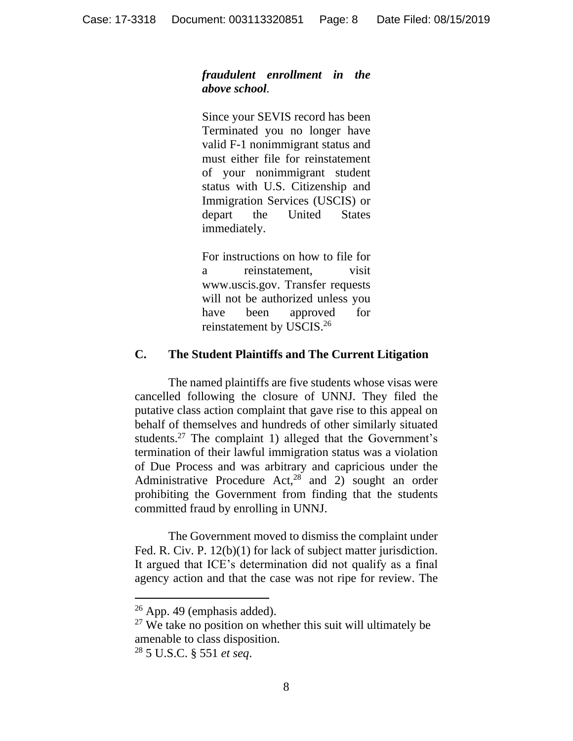### *fraudulent enrollment in the above school.*

Since your SEVIS record has been Terminated you no longer have valid F-1 nonimmigrant status and must either file for reinstatement of your nonimmigrant student status with U.S. Citizenship and Immigration Services (USCIS) or depart the United States immediately.

For instructions on how to file for a reinstatement, visit www.uscis.gov. Transfer requests will not be authorized unless you have been approved for reinstatement by USCIS.<sup>26</sup>

### **C. The Student Plaintiffs and The Current Litigation**

The named plaintiffs are five students whose visas were cancelled following the closure of UNNJ. They filed the putative class action complaint that gave rise to this appeal on behalf of themselves and hundreds of other similarly situated students.<sup>27</sup> The complaint 1) alleged that the Government's termination of their lawful immigration status was a violation of Due Process and was arbitrary and capricious under the Administrative Procedure Act, $28$  and 2) sought an order prohibiting the Government from finding that the students committed fraud by enrolling in UNNJ.

The Government moved to dismiss the complaint under Fed. R. Civ. P. 12(b)(1) for lack of subject matter jurisdiction. It argued that ICE's determination did not qualify as a final agency action and that the case was not ripe for review. The

 $26$  App. 49 (emphasis added).

 $27$  We take no position on whether this suit will ultimately be amenable to class disposition.

<sup>28</sup> 5 U.S.C. § 551 *et seq*.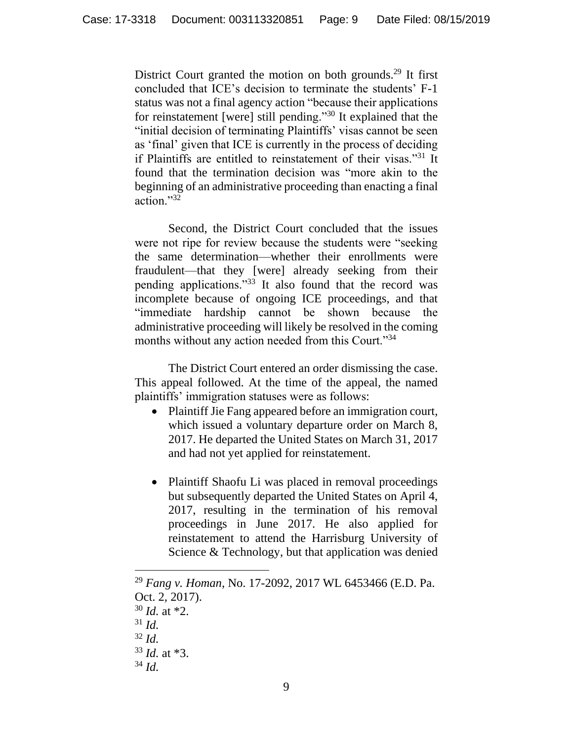District Court granted the motion on both grounds.<sup>29</sup> It first concluded that ICE's decision to terminate the students' F-1 status was not a final agency action "because their applications for reinstatement [were] still pending."<sup>30</sup> It explained that the "initial decision of terminating Plaintiffs' visas cannot be seen as 'final' given that ICE is currently in the process of deciding if Plaintiffs are entitled to reinstatement of their visas."<sup>31</sup> It found that the termination decision was "more akin to the beginning of an administrative proceeding than enacting a final action."<sup>32</sup>

Second, the District Court concluded that the issues were not ripe for review because the students were "seeking the same determination—whether their enrollments were fraudulent—that they [were] already seeking from their pending applications."<sup>33</sup> It also found that the record was incomplete because of ongoing ICE proceedings, and that "immediate hardship cannot be shown because the administrative proceeding will likely be resolved in the coming months without any action needed from this Court."<sup>34</sup>

The District Court entered an order dismissing the case. This appeal followed. At the time of the appeal, the named plaintiffs' immigration statuses were as follows:

- Plaintiff Jie Fang appeared before an immigration court, which issued a voluntary departure order on March 8, 2017. He departed the United States on March 31, 2017 and had not yet applied for reinstatement.
- Plaintiff Shaofu Li was placed in removal proceedings but subsequently departed the United States on April 4, 2017, resulting in the termination of his removal proceedings in June 2017. He also applied for reinstatement to attend the Harrisburg University of Science & Technology, but that application was denied

<sup>29</sup> *Fang v. Homan*, No. 17-2092, 2017 WL 6453466 (E.D. Pa. Oct. 2, 2017).

<sup>30</sup> *Id.* at \*2.

<sup>31</sup> *Id.*

<sup>32</sup> *Id.*

<sup>33</sup> *Id.* at \*3.

<sup>34</sup> *Id.*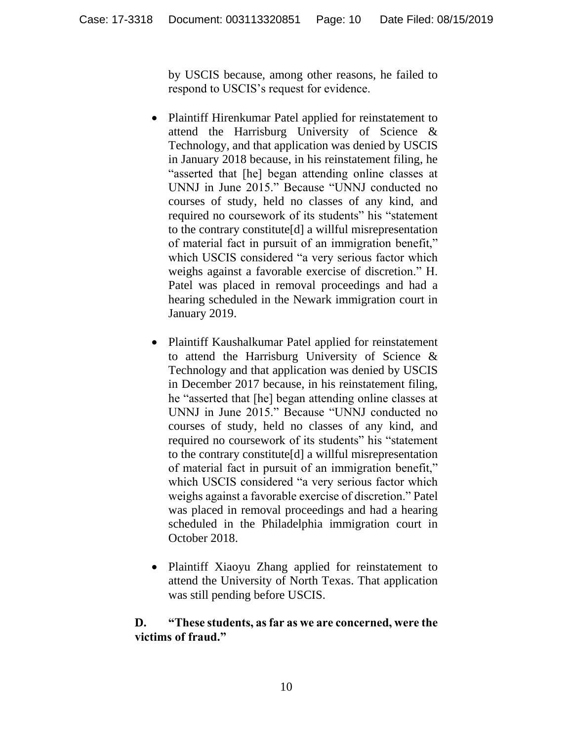by USCIS because, among other reasons, he failed to respond to USCIS's request for evidence.

- Plaintiff Hirenkumar Patel applied for reinstatement to attend the Harrisburg University of Science & Technology, and that application was denied by USCIS in January 2018 because, in his reinstatement filing, he "asserted that [he] began attending online classes at UNNJ in June 2015." Because "UNNJ conducted no courses of study, held no classes of any kind, and required no coursework of its students" his "statement to the contrary constitute[d] a willful misrepresentation of material fact in pursuit of an immigration benefit," which USCIS considered "a very serious factor which weighs against a favorable exercise of discretion." H. Patel was placed in removal proceedings and had a hearing scheduled in the Newark immigration court in January 2019.
- Plaintiff Kaushalkumar Patel applied for reinstatement to attend the Harrisburg University of Science & Technology and that application was denied by USCIS in December 2017 because, in his reinstatement filing, he "asserted that [he] began attending online classes at UNNJ in June 2015." Because "UNNJ conducted no courses of study, held no classes of any kind, and required no coursework of its students" his "statement to the contrary constitute[d] a willful misrepresentation of material fact in pursuit of an immigration benefit," which USCIS considered "a very serious factor which weighs against a favorable exercise of discretion." Patel was placed in removal proceedings and had a hearing scheduled in the Philadelphia immigration court in October 2018.
- Plaintiff Xiaoyu Zhang applied for reinstatement to attend the University of North Texas. That application was still pending before USCIS.

# **D. "These students, as far as we are concerned, were the victims of fraud."**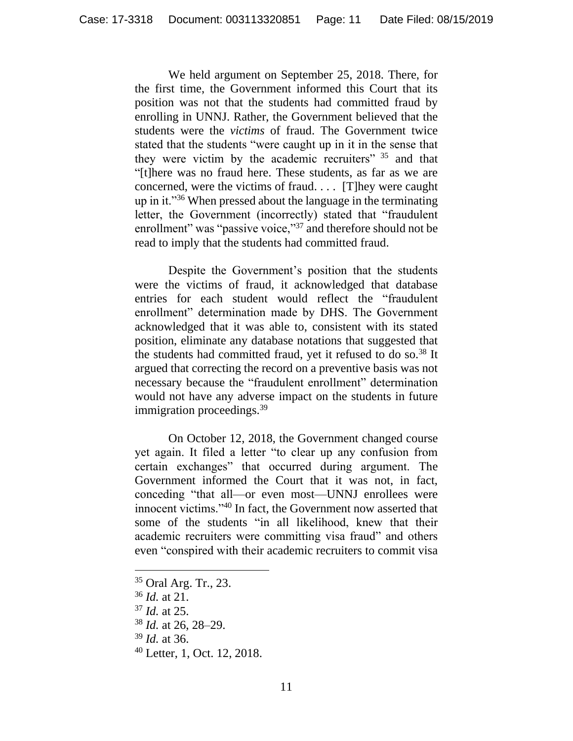We held argument on September 25, 2018. There, for the first time, the Government informed this Court that its position was not that the students had committed fraud by enrolling in UNNJ. Rather, the Government believed that the students were the *victims* of fraud. The Government twice stated that the students "were caught up in it in the sense that they were victim by the academic recruiters" <sup>35</sup> and that "[t]here was no fraud here. These students, as far as we are concerned, were the victims of fraud. . . . [T]hey were caught up in it."<sup>36</sup> When pressed about the language in the terminating letter, the Government (incorrectly) stated that "fraudulent enrollment" was "passive voice,"<sup>37</sup> and therefore should not be read to imply that the students had committed fraud.

Despite the Government's position that the students were the victims of fraud, it acknowledged that database entries for each student would reflect the "fraudulent enrollment" determination made by DHS. The Government acknowledged that it was able to, consistent with its stated position, eliminate any database notations that suggested that the students had committed fraud, yet it refused to do so.<sup>38</sup> It argued that correcting the record on a preventive basis was not necessary because the "fraudulent enrollment" determination would not have any adverse impact on the students in future immigration proceedings.<sup>39</sup>

On October 12, 2018, the Government changed course yet again. It filed a letter "to clear up any confusion from certain exchanges" that occurred during argument. The Government informed the Court that it was not, in fact, conceding "that all—or even most—UNNJ enrollees were innocent victims."<sup>40</sup> In fact, the Government now asserted that some of the students "in all likelihood, knew that their academic recruiters were committing visa fraud" and others even "conspired with their academic recruiters to commit visa

<sup>35</sup> Oral Arg. Tr., 23.

<sup>36</sup> *Id.* at 21.

<sup>37</sup> *Id.* at 25.

<sup>38</sup> *Id.* at 26, 28–29.

<sup>39</sup> *Id.* at 36.

<sup>40</sup> Letter, 1, Oct. 12, 2018.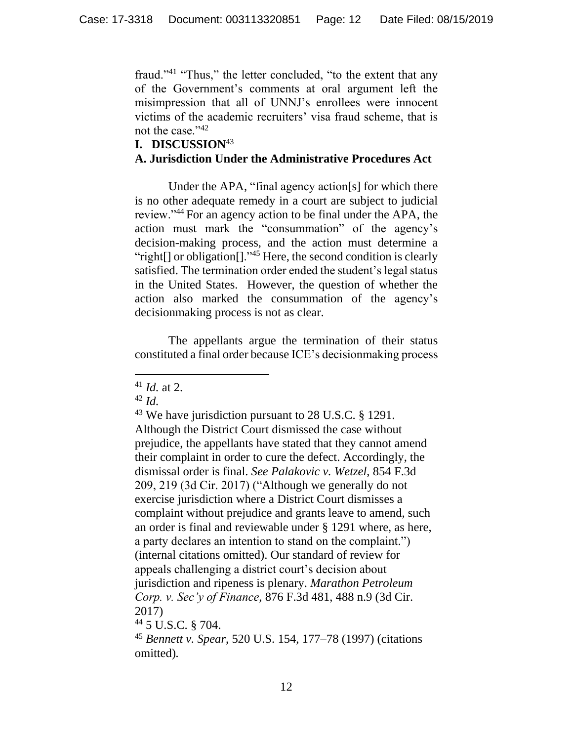fraud."<sup>41</sup> "Thus," the letter concluded, "to the extent that any of the Government's comments at oral argument left the misimpression that all of UNNJ's enrollees were innocent victims of the academic recruiters' visa fraud scheme, that is not the case."<sup>42</sup>

### **I. DISCUSSION**<sup>43</sup>

## **A. Jurisdiction Under the Administrative Procedures Act**

Under the APA, "final agency action[s] for which there is no other adequate remedy in a court are subject to judicial review."<sup>44</sup> For an agency action to be final under the APA, the action must mark the "consummation" of the agency's decision-making process, and the action must determine a "right[] or obligation[]."<sup>45</sup> Here, the second condition is clearly satisfied. The termination order ended the student's legal status in the United States. However, the question of whether the action also marked the consummation of the agency's decisionmaking process is not as clear.

The appellants argue the termination of their status constituted a final order because ICE's decisionmaking process

<sup>42</sup> *Id.*

<sup>44</sup> 5 U.S.C. § 704.

<sup>41</sup> *Id.* at 2.

<sup>&</sup>lt;sup>43</sup> We have jurisdiction pursuant to 28 U.S.C. § 1291. Although the District Court dismissed the case without prejudice, the appellants have stated that they cannot amend their complaint in order to cure the defect. Accordingly, the dismissal order is final. *See Palakovic v. Wetzel*, 854 F.3d 209, 219 (3d Cir. 2017) ("Although we generally do not exercise jurisdiction where a District Court dismisses a complaint without prejudice and grants leave to amend, such an order is final and reviewable under § 1291 where, as here, a party declares an intention to stand on the complaint.") (internal citations omitted). Our standard of review for appeals challenging a district court's decision about jurisdiction and ripeness is plenary. *Marathon Petroleum Corp. v. Sec'y of Finance*, 876 F.3d 481, 488 n.9 (3d Cir. 2017)

<sup>45</sup> *Bennett v. Spear*, 520 U.S. 154, 177–78 (1997) (citations omitted)*.*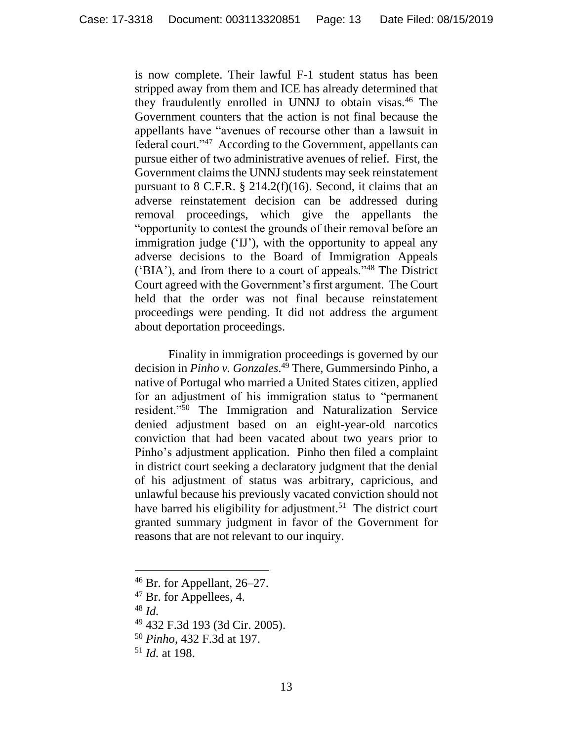is now complete. Their lawful F-1 student status has been stripped away from them and ICE has already determined that they fraudulently enrolled in UNNJ to obtain visas.<sup>46</sup> The Government counters that the action is not final because the appellants have "avenues of recourse other than a lawsuit in federal court."<sup>47</sup> According to the Government, appellants can pursue either of two administrative avenues of relief. First, the Government claims the UNNJ students may seek reinstatement pursuant to  $8$  C.F.R.  $\S$  214.2(f)(16). Second, it claims that an adverse reinstatement decision can be addressed during removal proceedings, which give the appellants the "opportunity to contest the grounds of their removal before an immigration judge ('IJ'), with the opportunity to appeal any adverse decisions to the Board of Immigration Appeals ('BIA'), and from there to a court of appeals."<sup>48</sup> The District Court agreed with the Government's first argument. The Court held that the order was not final because reinstatement proceedings were pending. It did not address the argument about deportation proceedings.

Finality in immigration proceedings is governed by our decision in *Pinho v. Gonzales*. <sup>49</sup> There, Gummersindo Pinho, a native of Portugal who married a United States citizen, applied for an adjustment of his immigration status to "permanent resident."<sup>50</sup> The Immigration and Naturalization Service denied adjustment based on an eight-year-old narcotics conviction that had been vacated about two years prior to Pinho's adjustment application. Pinho then filed a complaint in district court seeking a declaratory judgment that the denial of his adjustment of status was arbitrary, capricious, and unlawful because his previously vacated conviction should not have barred his eligibility for adjustment.<sup>51</sup> The district court granted summary judgment in favor of the Government for reasons that are not relevant to our inquiry.

<sup>46</sup> Br. for Appellant, 26–27.

<sup>&</sup>lt;sup>47</sup> Br. for Appellees, 4.

<sup>48</sup> *Id.*

<sup>49</sup> 432 F.3d 193 (3d Cir. 2005).

<sup>50</sup> *Pinho*, 432 F.3d at 197.

<sup>51</sup> *Id.* at 198.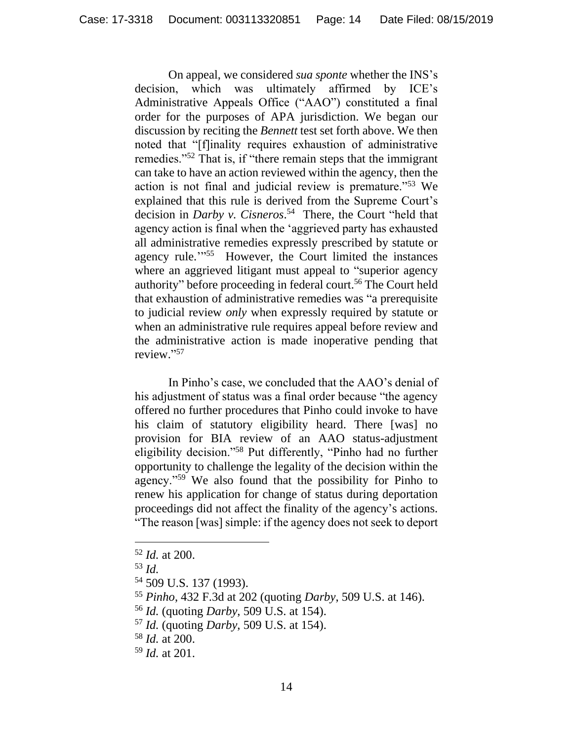On appeal, we considered *sua sponte* whether the INS's decision, which was ultimately affirmed by ICE's Administrative Appeals Office ("AAO") constituted a final order for the purposes of APA jurisdiction. We began our discussion by reciting the *Bennett* test set forth above. We then noted that "[f]inality requires exhaustion of administrative remedies."<sup>52</sup> That is, if "there remain steps that the immigrant can take to have an action reviewed within the agency, then the action is not final and judicial review is premature."<sup>53</sup> We explained that this rule is derived from the Supreme Court's decision in *Darby v. Cisneros*. <sup>54</sup> There, the Court "held that agency action is final when the 'aggrieved party has exhausted all administrative remedies expressly prescribed by statute or agency rule.<sup>7755</sup> However, the Court limited the instances where an aggrieved litigant must appeal to "superior agency authority" before proceeding in federal court.<sup>56</sup> The Court held that exhaustion of administrative remedies was "a prerequisite to judicial review *only* when expressly required by statute or when an administrative rule requires appeal before review and the administrative action is made inoperative pending that review." 57

In Pinho's case, we concluded that the AAO's denial of his adjustment of status was a final order because "the agency offered no further procedures that Pinho could invoke to have his claim of statutory eligibility heard. There [was] no provision for BIA review of an AAO status-adjustment eligibility decision."<sup>58</sup> Put differently, "Pinho had no further opportunity to challenge the legality of the decision within the agency."<sup>59</sup> We also found that the possibility for Pinho to renew his application for change of status during deportation proceedings did not affect the finality of the agency's actions. "The reason [was] simple: if the agency does not seek to deport

<sup>52</sup> *Id.* at 200.

<sup>53</sup> *Id.*

<sup>54</sup> 509 U.S. 137 (1993).

<sup>55</sup> *Pinho*, 432 F.3d at 202 (quoting *Darby*, 509 U.S. at 146).

<sup>56</sup> *Id.* (quoting *Darby*, 509 U.S. at 154).

<sup>57</sup> *Id.* (quoting *Darby*, 509 U.S. at 154).

<sup>58</sup> *Id.* at 200.

<sup>59</sup> *Id.* at 201.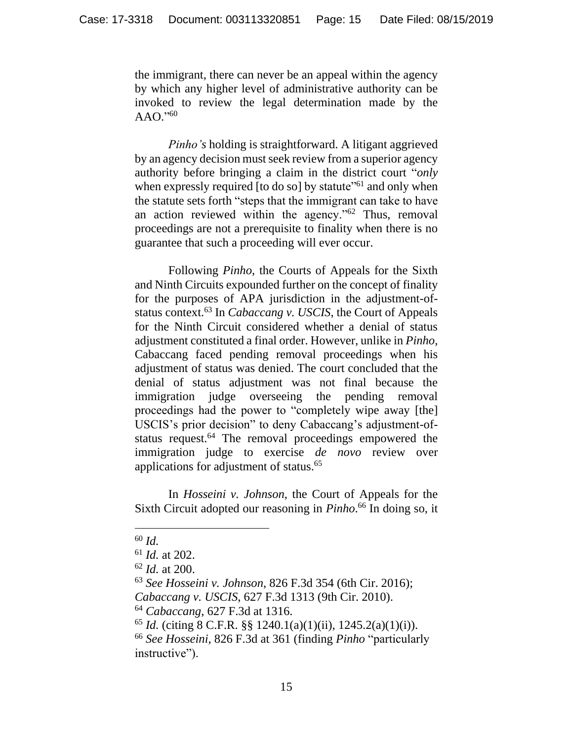the immigrant, there can never be an appeal within the agency by which any higher level of administrative authority can be invoked to review the legal determination made by the AAO." 60

*Pinho's* holding is straightforward. A litigant aggrieved by an agency decision must seek review from a superior agency authority before bringing a claim in the district court "*only*  when expressly required [to do so] by statute"<sup>61</sup> and only when the statute sets forth "steps that the immigrant can take to have an action reviewed within the agency."<sup>62</sup> Thus, removal proceedings are not a prerequisite to finality when there is no guarantee that such a proceeding will ever occur.

Following *Pinho*, the Courts of Appeals for the Sixth and Ninth Circuits expounded further on the concept of finality for the purposes of APA jurisdiction in the adjustment-ofstatus context.<sup>63</sup> In *Cabaccang v. USCIS*, the Court of Appeals for the Ninth Circuit considered whether a denial of status adjustment constituted a final order. However, unlike in *Pinho*, Cabaccang faced pending removal proceedings when his adjustment of status was denied. The court concluded that the denial of status adjustment was not final because the immigration judge overseeing the pending removal proceedings had the power to "completely wipe away [the] USCIS's prior decision" to deny Cabaccang's adjustment-ofstatus request.<sup>64</sup> The removal proceedings empowered the immigration judge to exercise *de novo* review over applications for adjustment of status.<sup>65</sup>

In *Hosseini v. Johnson*, the Court of Appeals for the Sixth Circuit adopted our reasoning in *Pinho*. <sup>66</sup> In doing so, it

<sup>60</sup> *Id.*

<sup>61</sup> *Id.* at 202.

<sup>62</sup> *Id.* at 200.

<sup>63</sup> *See Hosseini v. Johnson*, 826 F.3d 354 (6th Cir. 2016); *Cabaccang v. USCIS*, 627 F.3d 1313 (9th Cir. 2010).

<sup>64</sup> *Cabaccang*, 627 F.3d at 1316.

<sup>65</sup> *Id.* (citing 8 C.F.R. §§ 1240.1(a)(1)(ii), 1245.2(a)(1)(i)).

<sup>66</sup> *See Hosseini*, 826 F.3d at 361 (finding *Pinho* "particularly instructive").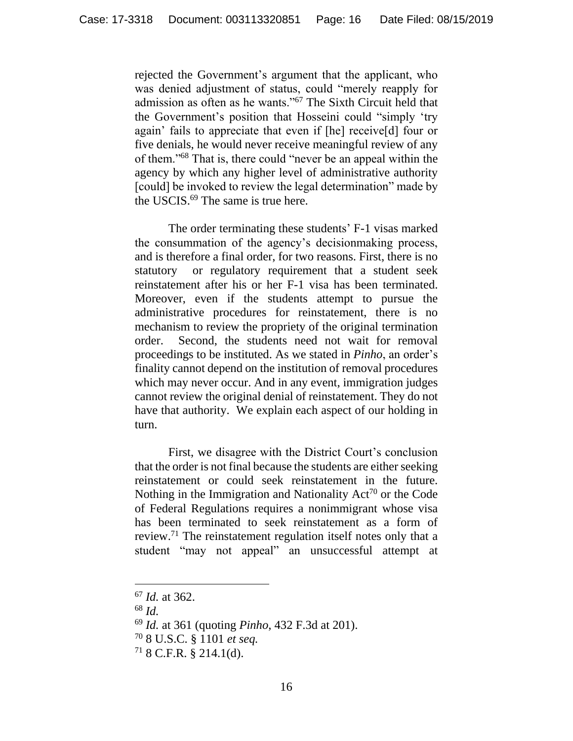rejected the Government's argument that the applicant, who was denied adjustment of status, could "merely reapply for admission as often as he wants."<sup>67</sup> The Sixth Circuit held that the Government's position that Hosseini could "simply 'try again' fails to appreciate that even if [he] receive[d] four or five denials, he would never receive meaningful review of any of them."<sup>68</sup> That is, there could "never be an appeal within the agency by which any higher level of administrative authority [could] be invoked to review the legal determination" made by the USCIS.<sup>69</sup> The same is true here.

The order terminating these students' F-1 visas marked the consummation of the agency's decisionmaking process, and is therefore a final order, for two reasons. First, there is no statutory or regulatory requirement that a student seek reinstatement after his or her F-1 visa has been terminated. Moreover, even if the students attempt to pursue the administrative procedures for reinstatement, there is no mechanism to review the propriety of the original termination order. Second, the students need not wait for removal proceedings to be instituted. As we stated in *Pinho*, an order's finality cannot depend on the institution of removal procedures which may never occur. And in any event, immigration judges cannot review the original denial of reinstatement. They do not have that authority. We explain each aspect of our holding in turn.

First, we disagree with the District Court's conclusion that the order is not final because the students are either seeking reinstatement or could seek reinstatement in the future. Nothing in the Immigration and Nationality  $Act^{70}$  or the Code of Federal Regulations requires a nonimmigrant whose visa has been terminated to seek reinstatement as a form of review.<sup>71</sup> The reinstatement regulation itself notes only that a student "may not appeal" an unsuccessful attempt at

<sup>67</sup> *Id.* at 362.

<sup>68</sup> *Id.*

<sup>69</sup> *Id.* at 361 (quoting *Pinho*, 432 F.3d at 201).

<sup>70</sup> 8 U.S.C. § 1101 *et seq.*

 $718$  C.F.R.  $\frac{8}{9}$  214.1(d).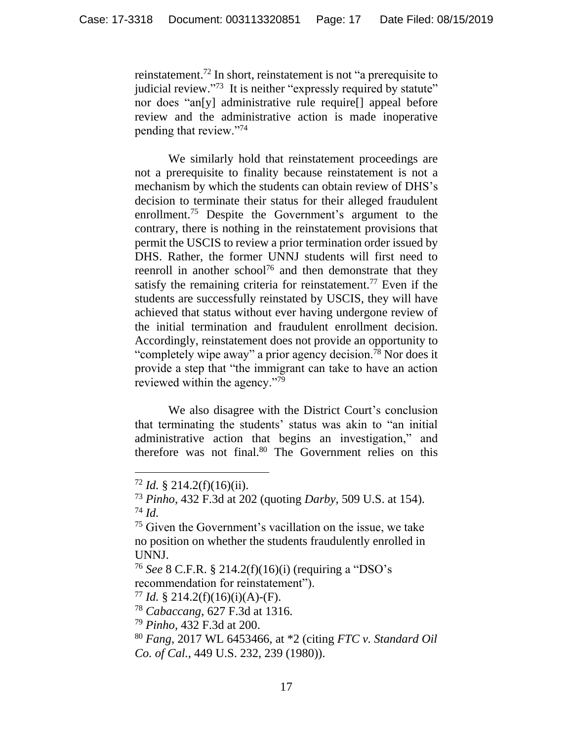reinstatement.<sup>72</sup> In short, reinstatement is not "a prerequisite to judicial review."<sup>73</sup> It is neither "expressly required by statute" nor does "an[y] administrative rule require[] appeal before review and the administrative action is made inoperative pending that review."<sup>74</sup>

We similarly hold that reinstatement proceedings are not a prerequisite to finality because reinstatement is not a mechanism by which the students can obtain review of DHS's decision to terminate their status for their alleged fraudulent enrollment.<sup>75</sup> Despite the Government's argument to the contrary, there is nothing in the reinstatement provisions that permit the USCIS to review a prior termination order issued by DHS. Rather, the former UNNJ students will first need to reenroll in another school<sup>76</sup> and then demonstrate that they satisfy the remaining criteria for reinstatement.<sup>77</sup> Even if the students are successfully reinstated by USCIS, they will have achieved that status without ever having undergone review of the initial termination and fraudulent enrollment decision. Accordingly, reinstatement does not provide an opportunity to "completely wipe away" a prior agency decision.<sup>78</sup> Nor does it provide a step that "the immigrant can take to have an action reviewed within the agency."<sup>79</sup>

We also disagree with the District Court's conclusion that terminating the students' status was akin to "an initial administrative action that begins an investigation," and therefore was not final.<sup>80</sup> The Government relies on this

<sup>76</sup> *See* 8 C.F.R. § 214.2(f)(16)(i) (requiring a "DSO's recommendation for reinstatement").

<sup>77</sup> *Id.* § 214.2(f)(16)(i)(A)-(F).

<sup>78</sup> *Cabaccang*, 627 F.3d at 1316.

<sup>79</sup> *Pinho*, 432 F.3d at 200.

 $72$  *Id.* § 214.2(f)(16)(ii).

<sup>73</sup> *Pinho*, 432 F.3d at 202 (quoting *Darby*, 509 U.S. at 154). <sup>74</sup> *Id.*

<sup>75</sup> Given the Government's vacillation on the issue, we take no position on whether the students fraudulently enrolled in UNNJ.

<sup>80</sup> *Fang*, 2017 WL 6453466, at \*2 (citing *FTC v. Standard Oil Co. of Cal.*, 449 U.S. 232, 239 (1980)).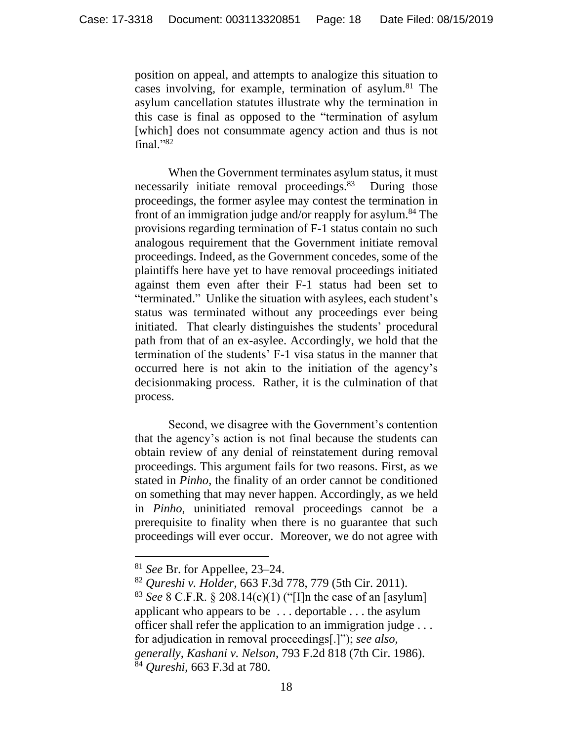position on appeal, and attempts to analogize this situation to cases involving, for example, termination of asylum.<sup>81</sup> The asylum cancellation statutes illustrate why the termination in this case is final as opposed to the "termination of asylum [which] does not consummate agency action and thus is not final."<sup>82</sup>

When the Government terminates asylum status, it must necessarily initiate removal proceedings.<sup>83</sup> During those proceedings, the former asylee may contest the termination in front of an immigration judge and/or reapply for asylum.<sup>84</sup> The provisions regarding termination of F-1 status contain no such analogous requirement that the Government initiate removal proceedings. Indeed, as the Government concedes, some of the plaintiffs here have yet to have removal proceedings initiated against them even after their F-1 status had been set to "terminated." Unlike the situation with asylees, each student's status was terminated without any proceedings ever being initiated. That clearly distinguishes the students' procedural path from that of an ex-asylee. Accordingly, we hold that the termination of the students' F-1 visa status in the manner that occurred here is not akin to the initiation of the agency's decisionmaking process. Rather, it is the culmination of that process.

Second, we disagree with the Government's contention that the agency's action is not final because the students can obtain review of any denial of reinstatement during removal proceedings. This argument fails for two reasons. First, as we stated in *Pinho*, the finality of an order cannot be conditioned on something that may never happen. Accordingly, as we held in *Pinho*, uninitiated removal proceedings cannot be a prerequisite to finality when there is no guarantee that such proceedings will ever occur. Moreover, we do not agree with

<sup>81</sup> *See* Br. for Appellee, 23–24.

<sup>82</sup> *Qureshi v. Holder*, 663 F.3d 778, 779 (5th Cir. 2011).

<sup>83</sup> *See* 8 C.F.R. § 208.14(c)(1) ("[I]n the case of an [asylum] applicant who appears to be . . . deportable . . . the asylum officer shall refer the application to an immigration judge . . . for adjudication in removal proceedings[.]"); *see also, generally, Kashani v. Nelson*, 793 F.2d 818 (7th Cir. 1986). <sup>84</sup> *Qureshi*, 663 F.3d at 780.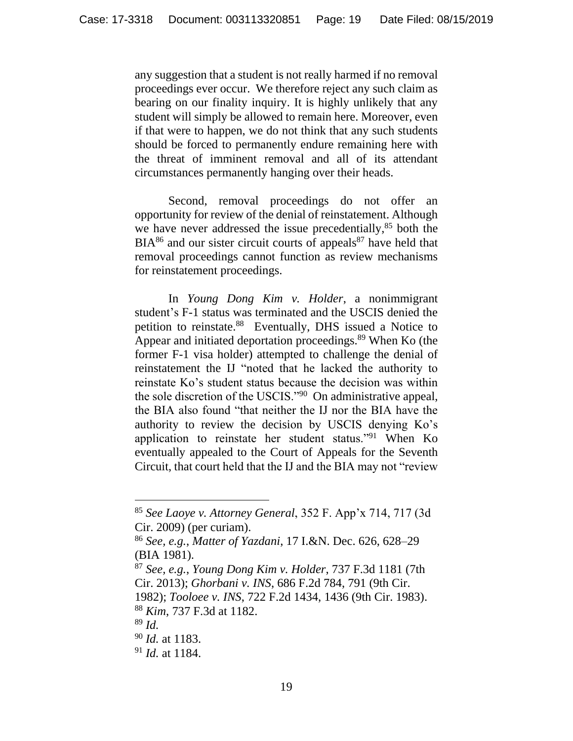any suggestion that a student is not really harmed if no removal proceedings ever occur. We therefore reject any such claim as bearing on our finality inquiry. It is highly unlikely that any student will simply be allowed to remain here. Moreover, even if that were to happen, we do not think that any such students should be forced to permanently endure remaining here with the threat of imminent removal and all of its attendant circumstances permanently hanging over their heads.

Second, removal proceedings do not offer an opportunity for review of the denial of reinstatement. Although we have never addressed the issue precedentially,  $85$  both the  $BIA<sup>86</sup>$  and our sister circuit courts of appeals<sup>87</sup> have held that removal proceedings cannot function as review mechanisms for reinstatement proceedings.

In *Young Dong Kim v. Holder*, a nonimmigrant student's F-1 status was terminated and the USCIS denied the petition to reinstate.<sup>88</sup> Eventually, DHS issued a Notice to Appear and initiated deportation proceedings.<sup>89</sup> When Ko (the former F-1 visa holder) attempted to challenge the denial of reinstatement the IJ "noted that he lacked the authority to reinstate Ko's student status because the decision was within the sole discretion of the USCIS."<sup>90</sup> On administrative appeal, the BIA also found "that neither the IJ nor the BIA have the authority to review the decision by USCIS denying Ko's application to reinstate her student status."<sup>91</sup> When Ko eventually appealed to the Court of Appeals for the Seventh Circuit, that court held that the IJ and the BIA may not "review

<sup>88</sup> *Kim*, 737 F.3d at 1182.

<sup>85</sup> *See Laoye v. Attorney General*, 352 F. App'x 714, 717 (3d Cir. 2009) (per curiam).

<sup>86</sup> *See, e.g.*, *Matter of Yazdani*, 17 I.&N. Dec. 626, 628–29 (BIA 1981).

<sup>87</sup> *See, e.g.*, *Young Dong Kim v. Holder*, 737 F.3d 1181 (7th Cir. 2013); *Ghorbani v. INS*, 686 F.2d 784, 791 (9th Cir. 1982); *Tooloee v. INS*, 722 F.2d 1434, 1436 (9th Cir. 1983).

<sup>89</sup> *Id.*

<sup>90</sup> *Id.* at 1183.

<sup>91</sup> *Id.* at 1184.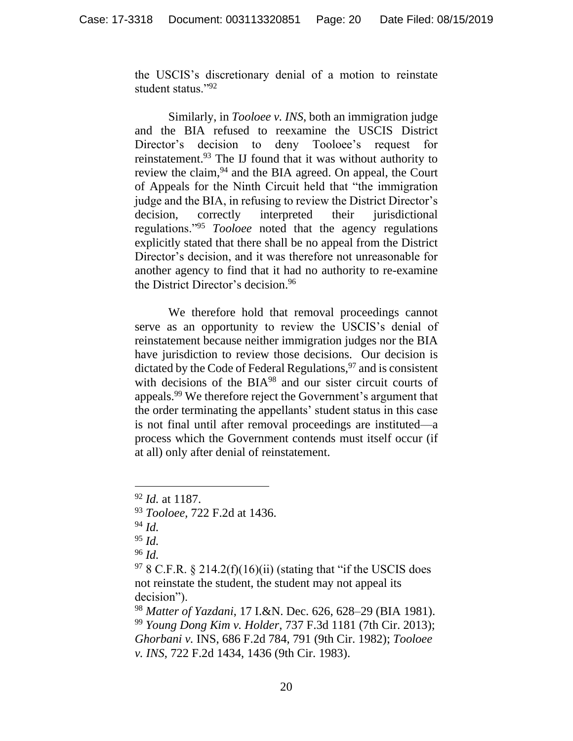the USCIS's discretionary denial of a motion to reinstate student status."<sup>92</sup>

Similarly, in *Tooloee v. INS*, both an immigration judge and the BIA refused to reexamine the USCIS District Director's decision to deny Tooloee's request for reinstatement.<sup>93</sup> The IJ found that it was without authority to review the claim, <sup>94</sup> and the BIA agreed. On appeal, the Court of Appeals for the Ninth Circuit held that "the immigration judge and the BIA, in refusing to review the District Director's decision, correctly interpreted their jurisdictional regulations."<sup>95</sup> *Tooloee* noted that the agency regulations explicitly stated that there shall be no appeal from the District Director's decision, and it was therefore not unreasonable for another agency to find that it had no authority to re-examine the District Director's decision.<sup>96</sup>

We therefore hold that removal proceedings cannot serve as an opportunity to review the USCIS's denial of reinstatement because neither immigration judges nor the BIA have jurisdiction to review those decisions. Our decision is dictated by the Code of Federal Regulations,  $97$  and is consistent with decisions of the BIA<sup>98</sup> and our sister circuit courts of appeals.<sup>99</sup> We therefore reject the Government's argument that the order terminating the appellants' student status in this case is not final until after removal proceedings are instituted—a process which the Government contends must itself occur (if at all) only after denial of reinstatement.

<sup>95</sup> *Id.*

<sup>96</sup> *Id.*

 $97$  8 C.F.R. § 214.2(f)(16)(ii) (stating that "if the USCIS does not reinstate the student, the student may not appeal its decision").

<sup>98</sup> *Matter of Yazdani*, 17 I.&N. Dec. 626, 628–29 (BIA 1981). <sup>99</sup> *Young Dong Kim v. Holder*, 737 F.3d 1181 (7th Cir. 2013); *Ghorbani v.* INS, 686 F.2d 784, 791 (9th Cir. 1982); *Tooloee v. INS*, 722 F.2d 1434, 1436 (9th Cir. 1983).

<sup>92</sup> *Id.* at 1187.

<sup>93</sup> *Tooloee,* 722 F.2d at 1436.

<sup>94</sup> *Id.*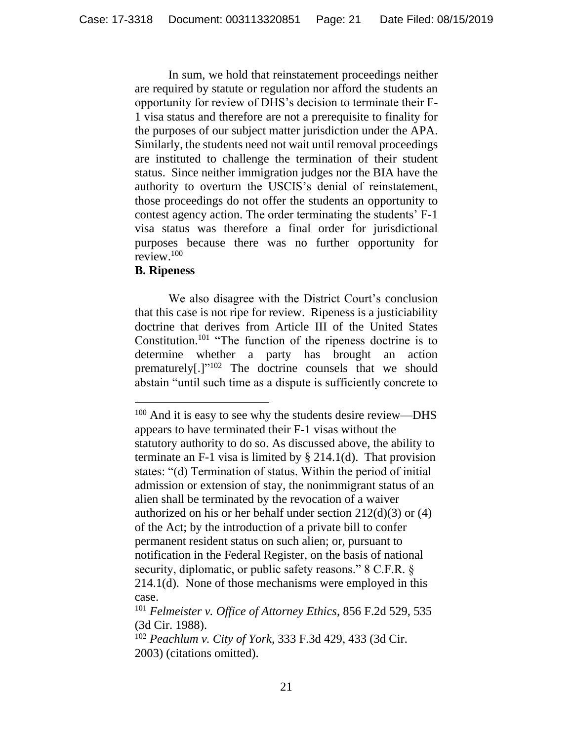In sum, we hold that reinstatement proceedings neither are required by statute or regulation nor afford the students an opportunity for review of DHS's decision to terminate their F-1 visa status and therefore are not a prerequisite to finality for the purposes of our subject matter jurisdiction under the APA. Similarly, the students need not wait until removal proceedings are instituted to challenge the termination of their student status. Since neither immigration judges nor the BIA have the authority to overturn the USCIS's denial of reinstatement, those proceedings do not offer the students an opportunity to contest agency action. The order terminating the students' F-1 visa status was therefore a final order for jurisdictional purposes because there was no further opportunity for review. 100

### **B. Ripeness**

 $\overline{a}$ 

We also disagree with the District Court's conclusion that this case is not ripe for review. Ripeness is a justiciability doctrine that derives from Article III of the United States Constitution.<sup>101</sup> "The function of the ripeness doctrine is to determine whether a party has brought an action prematurely[.]"<sup>102</sup> The doctrine counsels that we should abstain "until such time as a dispute is sufficiently concrete to

<sup>&</sup>lt;sup>100</sup> And it is easy to see why the students desire review—DHS appears to have terminated their F-1 visas without the statutory authority to do so. As discussed above, the ability to terminate an F-1 visa is limited by  $\S 214.1(d)$ . That provision states: "(d) Termination of status. Within the period of initial admission or extension of stay, the nonimmigrant status of an alien shall be terminated by the revocation of a waiver authorized on his or her behalf under section  $212(d)(3)$  or  $(4)$ of the Act; by the introduction of a private bill to confer permanent resident status on such alien; or, pursuant to notification in the Federal Register, on the basis of national security, diplomatic, or public safety reasons." 8 C.F.R. § 214.1(d). None of those mechanisms were employed in this case.

<sup>101</sup> *Felmeister v. Office of Attorney Ethics*, 856 F.2d 529, 535 (3d Cir. 1988).

<sup>102</sup> *Peachlum v. City of York*, 333 F.3d 429, 433 (3d Cir. 2003) (citations omitted).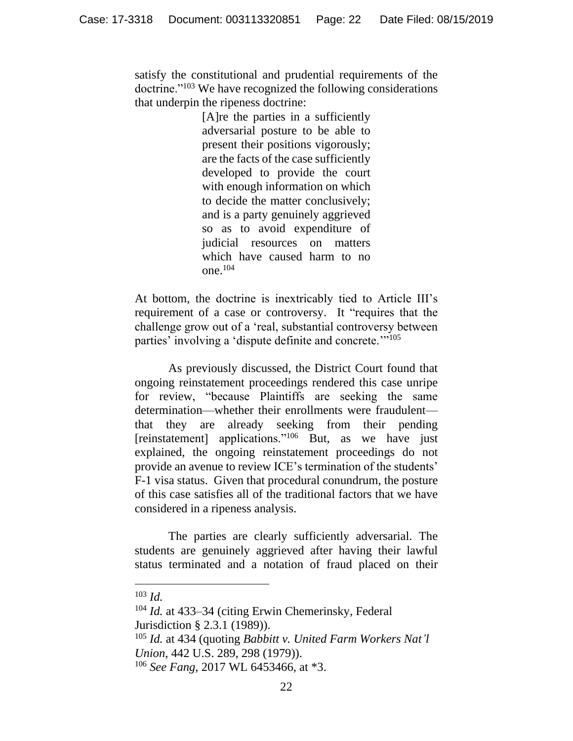satisfy the constitutional and prudential requirements of the doctrine."<sup>103</sup> We have recognized the following considerations that underpin the ripeness doctrine:

> [A]re the parties in a sufficiently adversarial posture to be able to present their positions vigorously; are the facts of the case sufficiently developed to provide the court with enough information on which to decide the matter conclusively; and is a party genuinely aggrieved so as to avoid expenditure of judicial resources on matters which have caused harm to no one.<sup>104</sup>

At bottom, the doctrine is inextricably tied to Article III's requirement of a case or controversy. It "requires that the challenge grow out of a 'real, substantial controversy between parties' involving a 'dispute definite and concrete.'"<sup>105</sup>

As previously discussed, the District Court found that ongoing reinstatement proceedings rendered this case unripe for review, "because Plaintiffs are seeking the same determination—whether their enrollments were fraudulent that they are already seeking from their pending [reinstatement] applications."<sup>106</sup> But, as we have just explained, the ongoing reinstatement proceedings do not provide an avenue to review ICE's termination of the students' F-1 visa status. Given that procedural conundrum, the posture of this case satisfies all of the traditional factors that we have considered in a ripeness analysis.

The parties are clearly sufficiently adversarial. The students are genuinely aggrieved after having their lawful status terminated and a notation of fraud placed on their

<sup>103</sup> *Id.*

<sup>104</sup> *Id.* at 433–34 (citing Erwin Chemerinsky, Federal Jurisdiction § 2.3.1 (1989)).

<sup>105</sup> *Id.* at 434 (quoting *Babbitt v. United Farm Workers Nat'l Union*, 442 U.S. 289, 298 (1979)).

<sup>106</sup> *See Fang*, 2017 WL 6453466, at \*3.